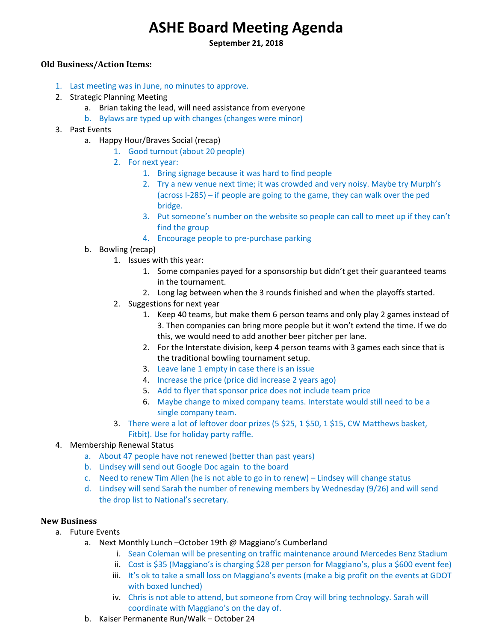# **ASHE Board Meeting Agenda**

**September 21, 2018** 

## **Old Business/Action Items:**

- 1. Last meeting was in June, no minutes to approve.
- 2. Strategic Planning Meeting
	- a. Brian taking the lead, will need assistance from everyone
	- b. Bylaws are typed up with changes (changes were minor)
- 3. Past Events
	- a. Happy Hour/Braves Social (recap)
		- 1. Good turnout (about 20 people)
		- 2. For next year:
			- 1. Bring signage because it was hard to find people
			- 2. Try a new venue next time; it was crowded and very noisy. Maybe try Murph's (across I‐285) – if people are going to the game, they can walk over the ped bridge.
			- 3. Put someone's number on the website so people can call to meet up if they can't find the group
			- 4. Encourage people to pre‐purchase parking
	- b. Bowling (recap)
		- 1. Issues with this year:
			- 1. Some companies payed for a sponsorship but didn't get their guaranteed teams in the tournament.
			- 2. Long lag between when the 3 rounds finished and when the playoffs started.
		- 2. Suggestions for next year
			- 1. Keep 40 teams, but make them 6 person teams and only play 2 games instead of 3. Then companies can bring more people but it won't extend the time. If we do this, we would need to add another beer pitcher per lane.
			- 2. For the Interstate division, keep 4 person teams with 3 games each since that is the traditional bowling tournament setup.
			- 3. Leave lane 1 empty in case there is an issue
			- 4. Increase the price (price did increase 2 years ago)
			- 5. Add to flyer that sponsor price does not include team price
			- 6. Maybe change to mixed company teams. Interstate would still need to be a single company team.
		- 3. There were a lot of leftover door prizes (5 \$25, 1 \$50, 1 \$15, CW Matthews basket, Fitbit). Use for holiday party raffle.
- 4. Membership Renewal Status
	- a. About 47 people have not renewed (better than past years)
	- b. Lindsey will send out Google Doc again to the board
	- c. Need to renew Tim Allen (he is not able to go in to renew) Lindsey will change status
	- d. Lindsey will send Sarah the number of renewing members by Wednesday (9/26) and will send the drop list to National's secretary.

### **New Business**

- a. Future Events
	- a. Next Monthly Lunch October 19th @ Maggiano's Cumberland
		- i. Sean Coleman will be presenting on traffic maintenance around Mercedes Benz Stadium
		- ii. Cost is \$35 (Maggiano's is charging \$28 per person for Maggiano's, plus a \$600 event fee)
		- iii. It's ok to take a small loss on Maggiano's events (make a big profit on the events at GDOT with boxed lunched)
		- iv. Chris is not able to attend, but someone from Croy will bring technology. Sarah will coordinate with Maggiano's on the day of.
	- b. Kaiser Permanente Run/Walk October 24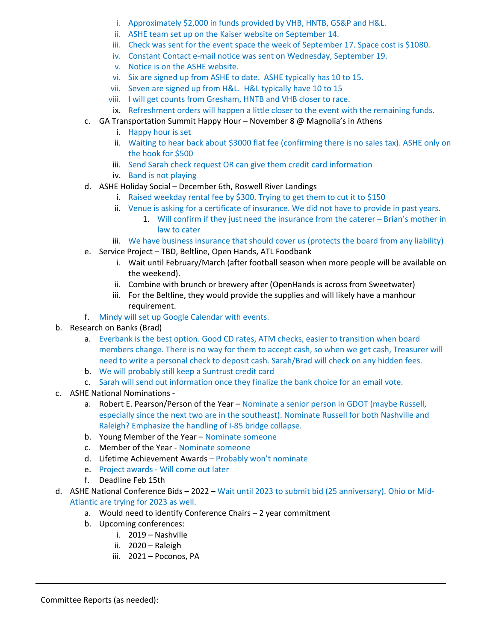- i. Approximately \$2,000 in funds provided by VHB, HNTB, GS&P and H&L.
- ii. ASHE team set up on the Kaiser website on September 14.
- iii. Check was sent for the event space the week of September 17. Space cost is \$1080.
- iv. Constant Contact e-mail notice was sent on Wednesday, September 19.
- v. Notice is on the ASHE website.
- vi. Six are signed up from ASHE to date. ASHE typically has 10 to 15.
- vii. Seven are signed up from H&L. H&L typically have 10 to 15
- viii. I will get counts from Gresham, HNTB and VHB closer to race.
- ix. Refreshment orders will happen a little closer to the event with the remaining funds.
- c. GA Transportation Summit Happy Hour November 8  $\omega$  Magnolia's in Athens
	- i. Happy hour is set
	- ii. Waiting to hear back about \$3000 flat fee (confirming there is no sales tax). ASHE only on the hook for \$500
	- iii. Send Sarah check request OR can give them credit card information
	- iv. Band is not playing
- d. ASHE Holiday Social December 6th, Roswell River Landings
	- i. Raised weekday rental fee by \$300. Trying to get them to cut it to \$150
	- ii. Venue is asking for a certificate of insurance. We did not have to provide in past years.
		- 1. Will confirm if they just need the insurance from the caterer Brian's mother in law to cater
	- iii. We have business insurance that should cover us (protects the board from any liability)
- e. Service Project TBD, Beltline, Open Hands, ATL Foodbank
	- i. Wait until February/March (after football season when more people will be available on the weekend).
	- ii. Combine with brunch or brewery after (OpenHands is across from Sweetwater)
	- iii. For the Beltline, they would provide the supplies and will likely have a manhour requirement.
- f. Mindy will set up Google Calendar with events.
- b. Research on Banks (Brad)
	- a. Everbank is the best option. Good CD rates, ATM checks, easier to transition when board members change. There is no way for them to accept cash, so when we get cash, Treasurer will need to write a personal check to deposit cash. Sarah/Brad will check on any hidden fees.
	- b. We will probably still keep a Suntrust credit card
	- c. Sarah will send out information once they finalize the bank choice for an email vote.
- c. ASHE National Nominations ‐
	- a. Robert E. Pearson/Person of the Year Nominate a senior person in GDOT (maybe Russell, especially since the next two are in the southeast). Nominate Russell for both Nashville and Raleigh? Emphasize the handling of I‐85 bridge collapse.
	- b. Young Member of the Year Nominate someone
	- c. Member of the Year ‐ Nominate someone
	- d. Lifetime Achievement Awards Probably won't nominate
	- e. Project awards ‐ Will come out later
	- f. Deadline Feb 15th
- d. ASHE National Conference Bids 2022 Wait until 2023 to submit bid (25 anniversary). Ohio or Mid‐ Atlantic are trying for 2023 as well.
	- a. Would need to identify Conference Chairs 2 year commitment
	- b. Upcoming conferences:
		- i. 2019 Nashville
		- ii. 2020 Raleigh
		- iii. 2021 Poconos, PA

Committee Reports (as needed):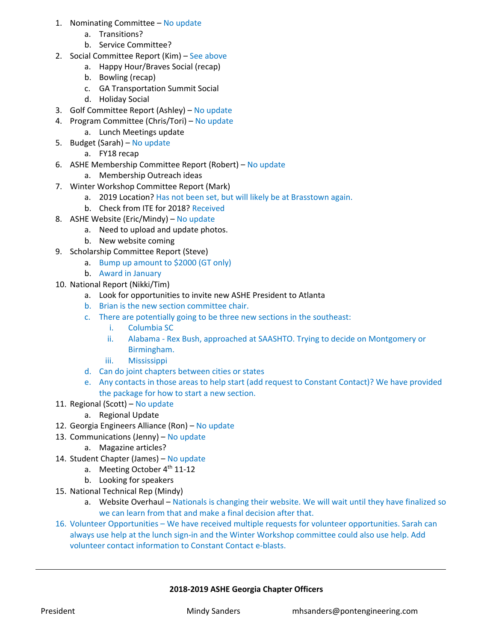- 1. Nominating Committee No update
	- a. Transitions?
	- b. Service Committee?
- 2. Social Committee Report (Kim) See above
	- a. Happy Hour/Braves Social (recap)
	- b. Bowling (recap)
	- c. GA Transportation Summit Social
	- d. Holiday Social
- 3. Golf Committee Report (Ashley) No update
- 4. Program Committee (Chris/Tori) No update
	- a. Lunch Meetings update
- 5. Budget (Sarah) No update
	- a. FY18 recap
- 6. ASHE Membership Committee Report (Robert) No update
	- a. Membership Outreach ideas
- 7. Winter Workshop Committee Report (Mark)
	- a. 2019 Location? Has not been set, but will likely be at Brasstown again.
	- b. Check from ITE for 2018? Received
- 8. ASHE Website (Eric/Mindy) No update
	- a. Need to upload and update photos.
	- b. New website coming
- 9. Scholarship Committee Report (Steve)
	- a. Bump up amount to \$2000 (GT only)
	- b. Award in January
- 10. National Report (Nikki/Tim)
	- a. Look for opportunities to invite new ASHE President to Atlanta
	- b. Brian is the new section committee chair.
	- c. There are potentially going to be three new sections in the southeast:
		- i. Columbia SC
		- ii. Alabama ‐ Rex Bush, approached at SAASHTO. Trying to decide on Montgomery or Birmingham.
		- iii. Mississippi
	- d. Can do joint chapters between cities or states
	- e. Any contacts in those areas to help start (add request to Constant Contact)? We have provided the package for how to start a new section.
- 11. Regional (Scott) No update
	- a. Regional Update
- 12. Georgia Engineers Alliance (Ron) No update
- 13. Communications (Jenny) No update
	- a. Magazine articles?
- 14. Student Chapter (James) No update
	- a. Meeting October 4<sup>th</sup> 11-12
	- b. Looking for speakers
- 15. National Technical Rep (Mindy)
	- a. Website Overhaul Nationals is changing their website. We will wait until they have finalized so we can learn from that and make a final decision after that.
- 16. Volunteer Opportunities We have received multiple requests for volunteer opportunities. Sarah can always use help at the lunch sign‐in and the Winter Workshop committee could also use help. Add volunteer contact information to Constant Contact e‐blasts.

### **2018‐2019 ASHE Georgia Chapter Officers**